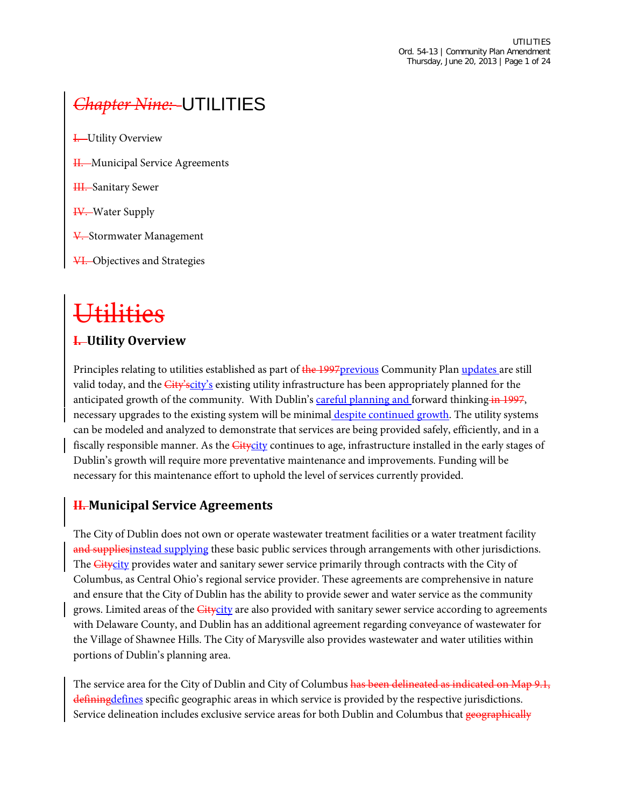# *Chapter Nine:* UTILITIES

- **I.** Utility Overview
- H. Municipal Service Agreements
- **HI.** Sanitary Sewer
- **IV.** Water Supply
- V. Stormwater Management
- VI. Objectives and Strategies

# Utilities

#### **I. Utility Overview**

Principles relating to utilities established as part of the 1997 previous Community Plan updates are still valid today, and the *City'scity's* existing utility infrastructure has been appropriately planned for the anticipated growth of the community. With Dublin's careful planning and forward thinking in 1997, necessary upgrades to the existing system will be minimal despite continued growth. The utility systems can be modeled and analyzed to demonstrate that services are being provided safely, efficiently, and in a fiscally responsible manner. As the *Citycity* continues to age, infrastructure installed in the early stages of Dublin's growth will require more preventative maintenance and improvements. Funding will be necessary for this maintenance effort to uphold the level of services currently provided.

#### **II. Municipal Service Agreements**

The City of Dublin does not own or operate wastewater treatment facilities or a water treatment facility and suppliesinstead supplying these basic public services through arrangements with other jurisdictions. The Citycity provides water and sanitary sewer service primarily through contracts with the City of Columbus, as Central Ohio's regional service provider. These agreements are comprehensive in nature and ensure that the City of Dublin has the ability to provide sewer and water service as the community grows. Limited areas of the *Citycity* are also provided with sanitary sewer service according to agreements with Delaware County, and Dublin has an additional agreement regarding conveyance of wastewater for the Village of Shawnee Hills. The City of Marysville also provides wastewater and water utilities within portions of Dublin's planning area.

The service area for the City of Dublin and City of Columbus has been delineated as indicated on Map 9.1, defining defines specific geographic areas in which service is provided by the respective jurisdictions. Service delineation includes exclusive service areas for both Dublin and Columbus that geographically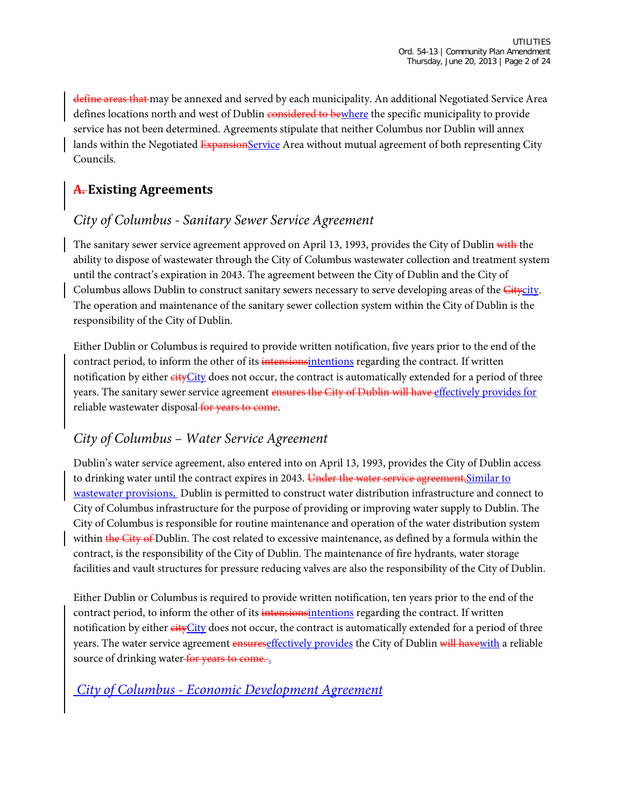define areas that may be annexed and served by each municipality. An additional Negotiated Service Area defines locations north and west of Dublin considered to bewhere the specific municipality to provide service has not been determined. Agreements stipulate that neither Columbus nor Dublin will annex lands within the Negotiated ExpansionService Area without mutual agreement of both representing City Councils.

# **A. Existing Agreements**

# *City of Columbus - Sanitary Sewer Service Agreement*

The sanitary sewer service agreement approved on April 13, 1993, provides the City of Dublin with the ability to dispose of wastewater through the City of Columbus wastewater collection and treatment system until the contract's expiration in 2043. The agreement between the City of Dublin and the City of Columbus allows Dublin to construct sanitary sewers necessary to serve developing areas of the *Citycity*. The operation and maintenance of the sanitary sewer collection system within the City of Dublin is the responsibility of the City of Dublin.

Either Dublin or Columbus is required to provide written notification, five years prior to the end of the contract period, to inform the other of its intensions intentions regarding the contract. If written notification by either eityCity does not occur, the contract is automatically extended for a period of three years. The sanitary sewer service agreement ensures the City of Dublin will have effectively provides for reliable wastewater disposal for years to come.

# *City of Columbus – Water Service Agreement*

Dublin's water service agreement, also entered into on April 13, 1993, provides the City of Dublin access to drinking water until the contract expires in 2043. Under the water service agreement, Similar to wastewater provisions, Dublin is permitted to construct water distribution infrastructure and connect to City of Columbus infrastructure for the purpose of providing or improving water supply to Dublin. The City of Columbus is responsible for routine maintenance and operation of the water distribution system within the City of Dublin. The cost related to excessive maintenance, as defined by a formula within the contract, is the responsibility of the City of Dublin. The maintenance of fire hydrants, water storage facilities and vault structures for pressure reducing valves are also the responsibility of the City of Dublin.

Either Dublin or Columbus is required to provide written notification, ten years prior to the end of the contract period, to inform the other of its intensions intentions regarding the contract. If written notification by either cityCity does not occur, the contract is automatically extended for a period of three years. The water service agreement ensureseffectively provides the City of Dublin will have with a reliable source of drinking water for years to come...

#### *City of Columbus - Economic Development Agreement*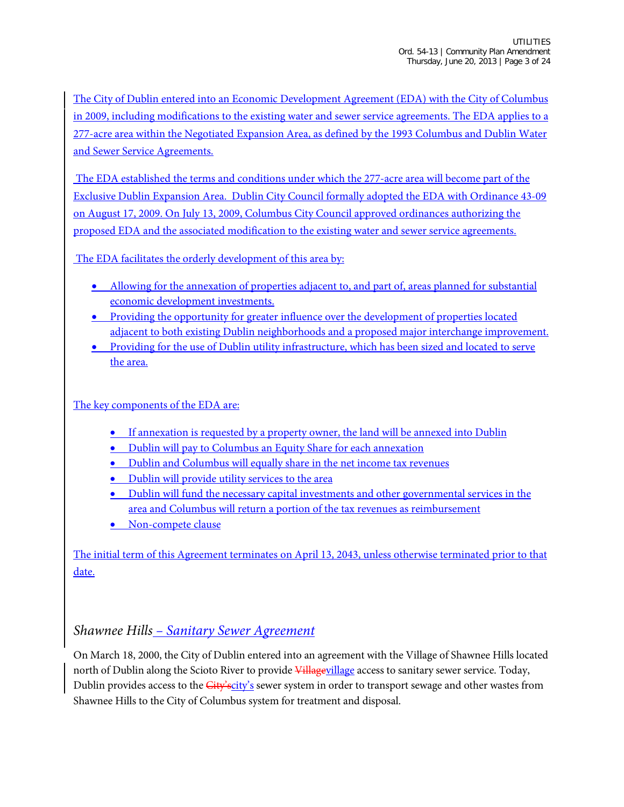The City of Dublin entered into an Economic Development Agreement (EDA) with the City of Columbus in 2009, including modifications to the existing water and sewer service agreements. The EDA applies to a 277-acre area within the Negotiated Expansion Area, as defined by the 1993 Columbus and Dublin Water and Sewer Service Agreements.

The EDA established the terms and conditions under which the 277-acre area will become part of the Exclusive Dublin Expansion Area. Dublin City Council formally adopted the EDA with Ordinance 43-09 on August 17, 2009. On July 13, 2009, Columbus City Council approved ordinances authorizing the proposed EDA and the associated modification to the existing water and sewer service agreements.

The EDA facilitates the orderly development of this area by:

- Allowing for the annexation of properties adjacent to, and part of, areas planned for substantial economic development investments.
- Providing the opportunity for greater influence over the development of properties located adjacent to both existing Dublin neighborhoods and a proposed major interchange improvement.
- Providing for the use of Dublin utility infrastructure, which has been sized and located to serve the area.

#### The key components of the EDA are:

- If annexation is requested by a property owner, the land will be annexed into Dublin
- Dublin will pay to Columbus an Equity Share for each annexation
- Dublin and Columbus will equally share in the net income tax revenues
- Dublin will provide utility services to the area
- Dublin will fund the necessary capital investments and other governmental services in the area and Columbus will return a portion of the tax revenues as reimbursement
- Non-compete clause

The initial term of this Agreement terminates on April 13, 2043, unless otherwise terminated prior to that date.

#### *Shawnee Hills – Sanitary Sewer Agreement*

On March 18, 2000, the City of Dublin entered into an agreement with the Village of Shawnee Hills located north of Dublin along the Scioto River to provide Villagevillage access to sanitary sewer service. Today, Dublin provides access to the City'scity's sewer system in order to transport sewage and other wastes from Shawnee Hills to the City of Columbus system for treatment and disposal.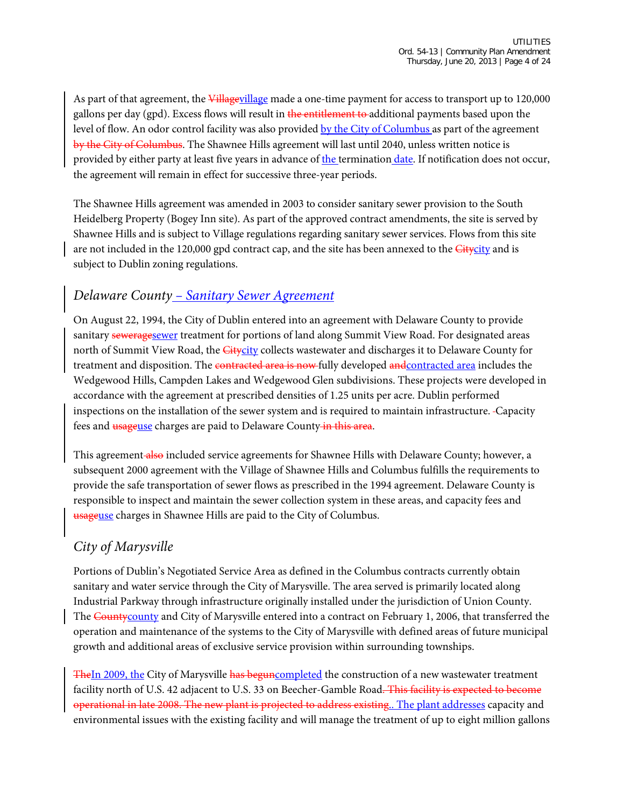As part of that agreement, the Villagevillage made a one-time payment for access to transport up to 120,000 gallons per day (gpd). Excess flows will result in the entitlement to-additional payments based upon the level of flow. An odor control facility was also provided by the City of Columbus as part of the agreement by the City of Columbus. The Shawnee Hills agreement will last until 2040, unless written notice is provided by either party at least five years in advance of the termination date. If notification does not occur, the agreement will remain in effect for successive three-year periods.

The Shawnee Hills agreement was amended in 2003 to consider sanitary sewer provision to the South Heidelberg Property (Bogey Inn site). As part of the approved contract amendments, the site is served by Shawnee Hills and is subject to Village regulations regarding sanitary sewer services. Flows from this site are not included in the 120,000 gpd contract cap, and the site has been annexed to the **Citycity** and is subject to Dublin zoning regulations.

#### *Delaware County – Sanitary Sewer Agreement*

On August 22, 1994, the City of Dublin entered into an agreement with Delaware County to provide sanitary seweragesewer treatment for portions of land along Summit View Road. For designated areas north of Summit View Road, the *Citycity* collects wastewater and discharges it to Delaware County for treatment and disposition. The contracted area is now fully developed and contracted area includes the Wedgewood Hills, Campden Lakes and Wedgewood Glen subdivisions. These projects were developed in accordance with the agreement at prescribed densities of 1.25 units per acre. Dublin performed inspections on the installation of the sewer system and is required to maintain infrastructure. Capacity fees and **usageuse** charges are paid to Delaware County-in this area.

This agreement also included service agreements for Shawnee Hills with Delaware County; however, a subsequent 2000 agreement with the Village of Shawnee Hills and Columbus fulfills the requirements to provide the safe transportation of sewer flows as prescribed in the 1994 agreement. Delaware County is responsible to inspect and maintain the sewer collection system in these areas, and capacity fees and usageuse charges in Shawnee Hills are paid to the City of Columbus.

#### *City of Marysville*

Portions of Dublin's Negotiated Service Area as defined in the Columbus contracts currently obtain sanitary and water service through the City of Marysville. The area served is primarily located along Industrial Parkway through infrastructure originally installed under the jurisdiction of Union County. The County county and City of Marysville entered into a contract on February 1, 2006, that transferred the operation and maintenance of the systems to the City of Marysville with defined areas of future municipal growth and additional areas of exclusive service provision within surrounding townships.

TheIn 2009, the City of Marysville has beguncompleted the construction of a new wastewater treatment facility north of U.S. 42 adjacent to U.S. 33 on Beecher-Gamble Road. This facility is expected to become operational in late 2008. The new plant is projected to address existing.. The plant addresses capacity and environmental issues with the existing facility and will manage the treatment of up to eight million gallons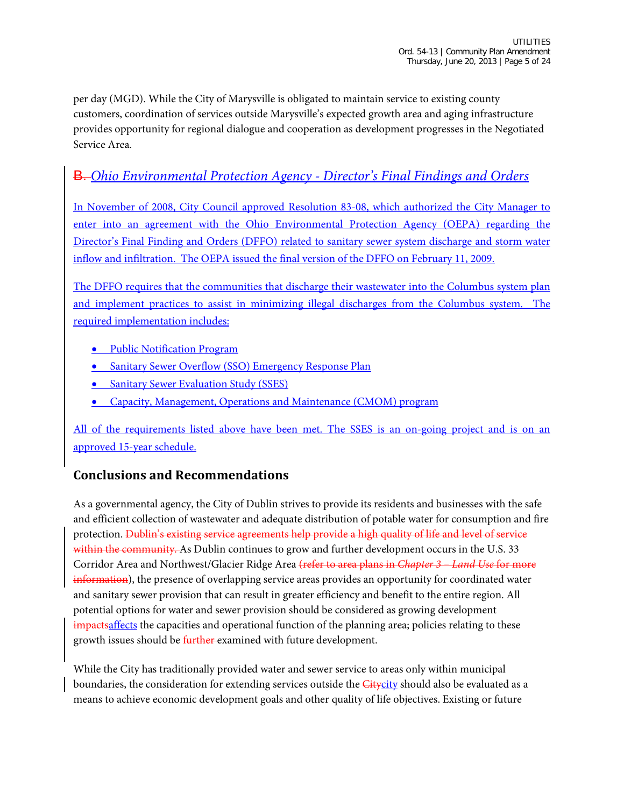per day (MGD). While the City of Marysville is obligated to maintain service to existing county customers, coordination of services outside Marysville's expected growth area and aging infrastructure provides opportunity for regional dialogue and cooperation as development progresses in the Negotiated Service Area.

### B. *Ohio Environmental Protection Agency - Director's Final Findings and Orders*

In November of 2008, City Council approved Resolution 83-08, which authorized the City Manager to enter into an agreement with the Ohio Environmental Protection Agency (OEPA) regarding the Director's Final Finding and Orders (DFFO) related to sanitary sewer system discharge and storm water inflow and infiltration. The OEPA issued the final version of the DFFO on February 11, 2009.

The DFFO requires that the communities that discharge their wastewater into the Columbus system plan and implement practices to assist in minimizing illegal discharges from the Columbus system. The required implementation includes:

- Public Notification Program
- Sanitary Sewer Overflow (SSO) Emergency Response Plan
- Sanitary Sewer Evaluation Study (SSES)
- Capacity, Management, Operations and Maintenance (CMOM) program

All of the requirements listed above have been met. The SSES is an on-going project and is on an approved 15-year schedule.

#### **Conclusions and Recommendations**

As a governmental agency, the City of Dublin strives to provide its residents and businesses with the safe and efficient collection of wastewater and adequate distribution of potable water for consumption and fire protection. Dublin's existing service agreements help provide a high quality of life and level of service within the community. As Dublin continues to grow and further development occurs in the U.S. 33 Corridor Area and Northwest/Glacier Ridge Area (refer to area plans in *Chapter 3 – Land Use* for more information), the presence of overlapping service areas provides an opportunity for coordinated water and sanitary sewer provision that can result in greater efficiency and benefit to the entire region. All potential options for water and sewer provision should be considered as growing development impacts affects the capacities and operational function of the planning area; policies relating to these growth issues should be *further* examined with future development.

While the City has traditionally provided water and sewer service to areas only within municipal boundaries, the consideration for extending services outside the *Citycity* should also be evaluated as a means to achieve economic development goals and other quality of life objectives. Existing or future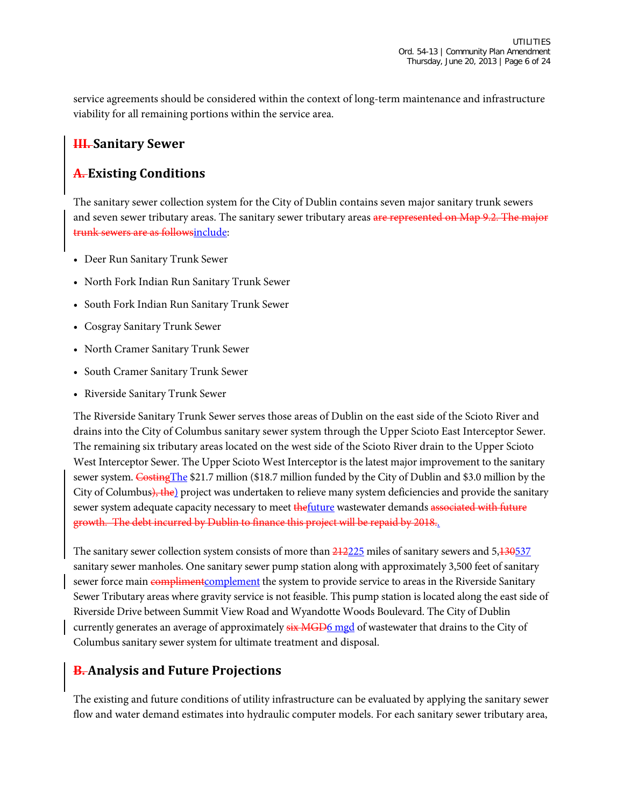service agreements should be considered within the context of long-term maintenance and infrastructure viability for all remaining portions within the service area.

#### **III. Sanitary Sewer**

#### **A. Existing Conditions**

The sanitary sewer collection system for the City of Dublin contains seven major sanitary trunk sewers and seven sewer tributary areas. The sanitary sewer tributary areas are represented on Map 9.2. The major trunk sewers are as followsinclude:

- Deer Run Sanitary Trunk Sewer
- North Fork Indian Run Sanitary Trunk Sewer
- South Fork Indian Run Sanitary Trunk Sewer
- Cosgray Sanitary Trunk Sewer
- North Cramer Sanitary Trunk Sewer
- South Cramer Sanitary Trunk Sewer
- Riverside Sanitary Trunk Sewer

The Riverside Sanitary Trunk Sewer serves those areas of Dublin on the east side of the Scioto River and drains into the City of Columbus sanitary sewer system through the Upper Scioto East Interceptor Sewer. The remaining six tributary areas located on the west side of the Scioto River drain to the Upper Scioto West Interceptor Sewer. The Upper Scioto West Interceptor is the latest major improvement to the sanitary sewer system. CostingThe \$21.7 million (\$18.7 million funded by the City of Dublin and \$3.0 million by the City of Columbus), the) project was undertaken to relieve many system deficiencies and provide the sanitary sewer system adequate capacity necessary to meet the future wastewater demands associated with future growth. The debt incurred by Dublin to finance this project will be repaid by 2018..

The sanitary sewer collection system consists of more than  $\frac{212225}{21}$  miles of sanitary sewers and 5,130537 sanitary sewer manholes. One sanitary sewer pump station along with approximately 3,500 feet of sanitary sewer force main compliment complement the system to provide service to areas in the Riverside Sanitary Sewer Tributary areas where gravity service is not feasible. This pump station is located along the east side of Riverside Drive between Summit View Road and Wyandotte Woods Boulevard. The City of Dublin currently generates an average of approximately  $\frac{1}{12}$  MGD6 mgd of wastewater that drains to the City of Columbus sanitary sewer system for ultimate treatment and disposal.

#### **B. Analysis and Future Projections**

The existing and future conditions of utility infrastructure can be evaluated by applying the sanitary sewer flow and water demand estimates into hydraulic computer models. For each sanitary sewer tributary area,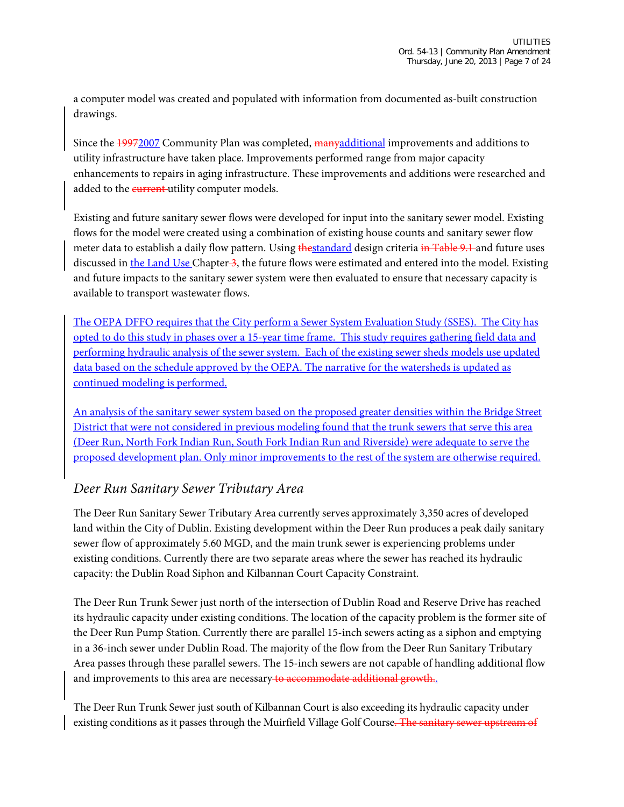a computer model was created and populated with information from documented as-built construction drawings.

Since the 19972007 Community Plan was completed, manyadditional improvements and additions to utility infrastructure have taken place. Improvements performed range from major capacity enhancements to repairs in aging infrastructure. These improvements and additions were researched and added to the **current**-utility computer models.

Existing and future sanitary sewer flows were developed for input into the sanitary sewer model. Existing flows for the model were created using a combination of existing house counts and sanitary sewer flow meter data to establish a daily flow pattern. Using thestandard design criteria in Table 9.1 and future uses discussed in the Land Use Chapter 3, the future flows were estimated and entered into the model. Existing and future impacts to the sanitary sewer system were then evaluated to ensure that necessary capacity is available to transport wastewater flows.

The OEPA DFFO requires that the City perform a Sewer System Evaluation Study (SSES). The City has opted to do this study in phases over a 15-year time frame. This study requires gathering field data and performing hydraulic analysis of the sewer system. Each of the existing sewer sheds models use updated data based on the schedule approved by the OEPA. The narrative for the watersheds is updated as continued modeling is performed.

An analysis of the sanitary sewer system based on the proposed greater densities within the Bridge Street District that were not considered in previous modeling found that the trunk sewers that serve this area (Deer Run, North Fork Indian Run, South Fork Indian Run and Riverside) were adequate to serve the proposed development plan. Only minor improvements to the rest of the system are otherwise required.

#### *Deer Run Sanitary Sewer Tributary Area*

The Deer Run Sanitary Sewer Tributary Area currently serves approximately 3,350 acres of developed land within the City of Dublin. Existing development within the Deer Run produces a peak daily sanitary sewer flow of approximately 5.60 MGD, and the main trunk sewer is experiencing problems under existing conditions. Currently there are two separate areas where the sewer has reached its hydraulic capacity: the Dublin Road Siphon and Kilbannan Court Capacity Constraint.

The Deer Run Trunk Sewer just north of the intersection of Dublin Road and Reserve Drive has reached its hydraulic capacity under existing conditions. The location of the capacity problem is the former site of the Deer Run Pump Station. Currently there are parallel 15-inch sewers acting as a siphon and emptying in a 36-inch sewer under Dublin Road. The majority of the flow from the Deer Run Sanitary Tributary Area passes through these parallel sewers. The 15-inch sewers are not capable of handling additional flow and improvements to this area are necessary to accommodate additional growth...

The Deer Run Trunk Sewer just south of Kilbannan Court is also exceeding its hydraulic capacity under existing conditions as it passes through the Muirfield Village Golf Course. The sanitary sewer upstream of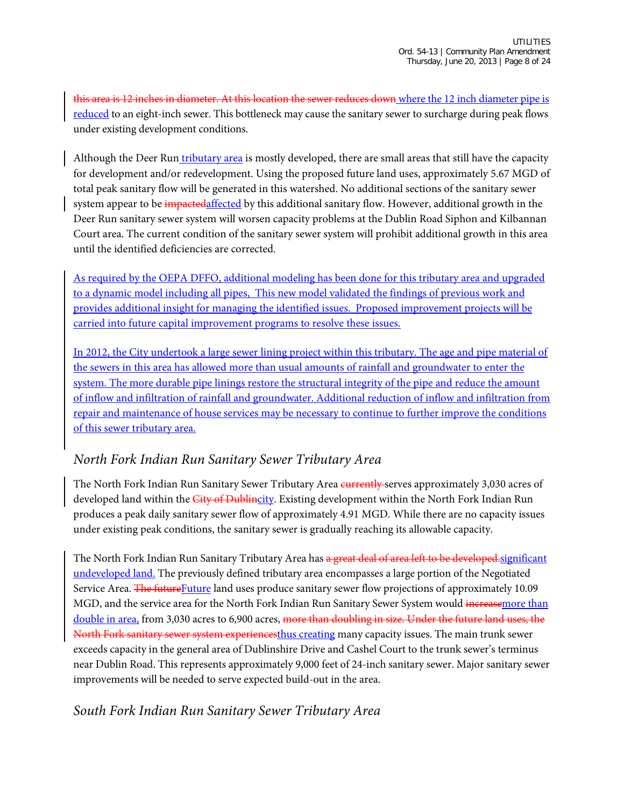this area is 12 inches in diameter. At this location the sewer reduces down where the 12 inch diameter pipe is reduced to an eight-inch sewer. This bottleneck may cause the sanitary sewer to surcharge during peak flows under existing development conditions.

Although the Deer Run tributary area is mostly developed, there are small areas that still have the capacity for development and/or redevelopment. Using the proposed future land uses, approximately 5.67 MGD of total peak sanitary flow will be generated in this watershed. No additional sections of the sanitary sewer system appear to be impactedaffected by this additional sanitary flow. However, additional growth in the Deer Run sanitary sewer system will worsen capacity problems at the Dublin Road Siphon and Kilbannan Court area. The current condition of the sanitary sewer system will prohibit additional growth in this area until the identified deficiencies are corrected.

As required by the OEPA DFFO, additional modeling has been done for this tributary area and upgraded to a dynamic model including all pipes, This new model validated the findings of previous work and provides additional insight for managing the identified issues. Proposed improvement projects will be carried into future capital improvement programs to resolve these issues.

In 2012, the City undertook a large sewer lining project within this tributary. The age and pipe material of the sewers in this area has allowed more than usual amounts of rainfall and groundwater to enter the system. The more durable pipe linings restore the structural integrity of the pipe and reduce the amount of inflow and infiltration of rainfall and groundwater. Additional reduction of inflow and infiltration from repair and maintenance of house services may be necessary to continue to further improve the conditions of this sewer tributary area.

#### *North Fork Indian Run Sanitary Sewer Tributary Area*

The North Fork Indian Run Sanitary Sewer Tributary Area **currently** serves approximately 3,030 acres of developed land within the *City of Dublincity*. Existing development within the North Fork Indian Run produces a peak daily sanitary sewer flow of approximately 4.91 MGD. While there are no capacity issues under existing peak conditions, the sanitary sewer is gradually reaching its allowable capacity.

The North Fork Indian Run Sanitary Tributary Area has a great deal of area left to be developed-significant undeveloped land. The previously defined tributary area encompasses a large portion of the Negotiated Service Area. The future Future land uses produce sanitary sewer flow projections of approximately 10.09 MGD, and the service area for the North Fork Indian Run Sanitary Sewer System would increasemore than double in area, from 3,030 acres to 6,900 acres, more than doubling in size. Under the future land uses, the North Fork sanitary sewer system experiencesthus creating many capacity issues. The main trunk sewer exceeds capacity in the general area of Dublinshire Drive and Cashel Court to the trunk sewer's terminus near Dublin Road. This represents approximately 9,000 feet of 24-inch sanitary sewer. Major sanitary sewer improvements will be needed to serve expected build-out in the area.

#### *South Fork Indian Run Sanitary Sewer Tributary Area*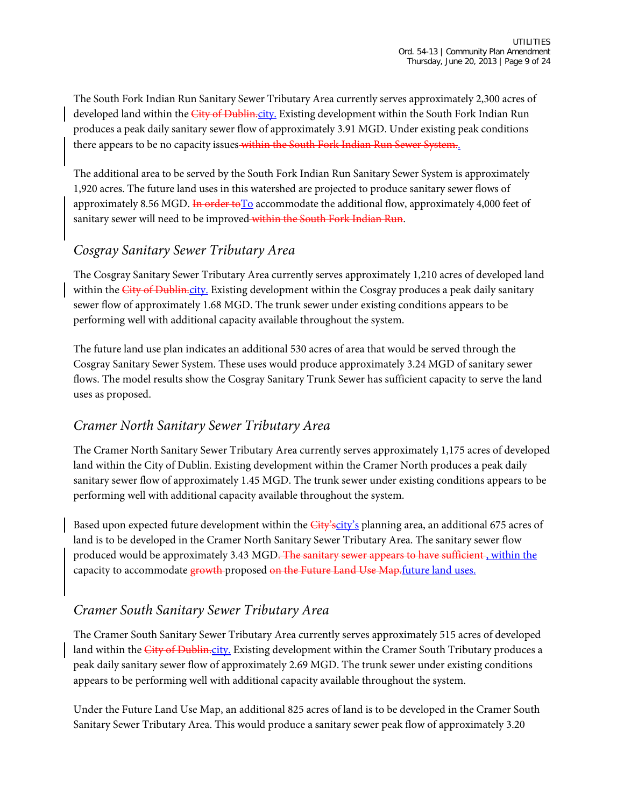The South Fork Indian Run Sanitary Sewer Tributary Area currently serves approximately 2,300 acres of developed land within the City of Dublin.city. Existing development within the South Fork Indian Run produces a peak daily sanitary sewer flow of approximately 3.91 MGD. Under existing peak conditions there appears to be no capacity issues within the South Fork Indian Run Sewer System.

The additional area to be served by the South Fork Indian Run Sanitary Sewer System is approximately 1,920 acres. The future land uses in this watershed are projected to produce sanitary sewer flows of approximately 8.56 MGD. In order to To accommodate the additional flow, approximately 4,000 feet of sanitary sewer will need to be improved within the South Fork Indian Run.

#### *Cosgray Sanitary Sewer Tributary Area*

The Cosgray Sanitary Sewer Tributary Area currently serves approximately 1,210 acres of developed land within the City of Dublin.city. Existing development within the Cosgray produces a peak daily sanitary sewer flow of approximately 1.68 MGD. The trunk sewer under existing conditions appears to be performing well with additional capacity available throughout the system.

The future land use plan indicates an additional 530 acres of area that would be served through the Cosgray Sanitary Sewer System. These uses would produce approximately 3.24 MGD of sanitary sewer flows. The model results show the Cosgray Sanitary Trunk Sewer has sufficient capacity to serve the land uses as proposed.

#### *Cramer North Sanitary Sewer Tributary Area*

The Cramer North Sanitary Sewer Tributary Area currently serves approximately 1,175 acres of developed land within the City of Dublin. Existing development within the Cramer North produces a peak daily sanitary sewer flow of approximately 1.45 MGD. The trunk sewer under existing conditions appears to be performing well with additional capacity available throughout the system.

Based upon expected future development within the City's planning area, an additional 675 acres of land is to be developed in the Cramer North Sanitary Sewer Tributary Area. The sanitary sewer flow produced would be approximately 3.43 MGD. The sanitary sewer appears to have sufficient, within the capacity to accommodate growth-proposed on the Future Land Use Map.future land uses.

#### *Cramer South Sanitary Sewer Tributary Area*

The Cramer South Sanitary Sewer Tributary Area currently serves approximately 515 acres of developed land within the *City of Dublin<sub>city</sub>*. Existing development within the Cramer South Tributary produces a peak daily sanitary sewer flow of approximately 2.69 MGD. The trunk sewer under existing conditions appears to be performing well with additional capacity available throughout the system.

Under the Future Land Use Map, an additional 825 acres of land is to be developed in the Cramer South Sanitary Sewer Tributary Area. This would produce a sanitary sewer peak flow of approximately 3.20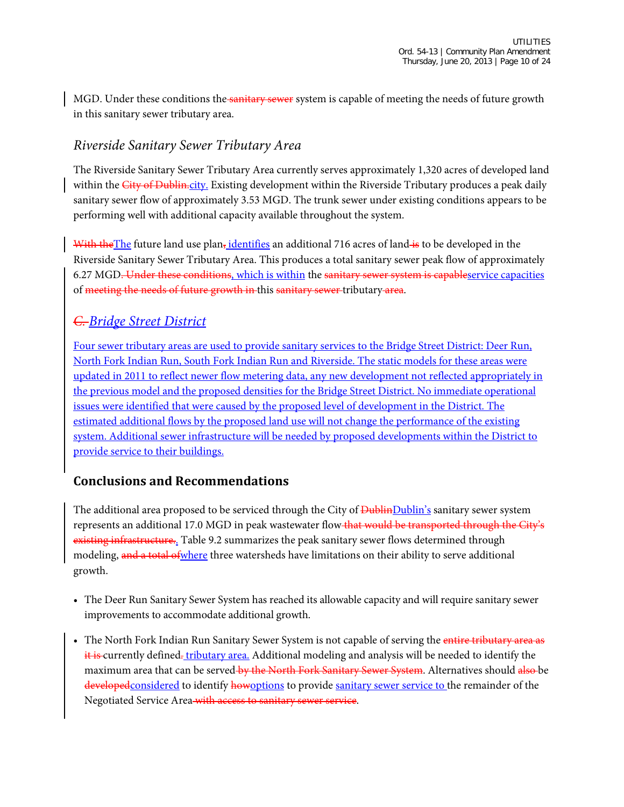MGD. Under these conditions the sanitary sewer system is capable of meeting the needs of future growth in this sanitary sewer tributary area.

#### *Riverside Sanitary Sewer Tributary Area*

The Riverside Sanitary Sewer Tributary Area currently serves approximately 1,320 acres of developed land within the City of Dublin.city. Existing development within the Riverside Tributary produces a peak daily sanitary sewer flow of approximately 3.53 MGD. The trunk sewer under existing conditions appears to be performing well with additional capacity available throughout the system.

With the The future land use plan, identifies an additional 716 acres of land is to be developed in the Riverside Sanitary Sewer Tributary Area. This produces a total sanitary sewer peak flow of approximately 6.27 MGD. Under these conditions, which is within the sanitary sewer system is capableservice capacities of meeting the needs of future growth in this sanitary sewer tributary area.

#### *C. Bridge Street District*

Four sewer tributary areas are used to provide sanitary services to the Bridge Street District: Deer Run, North Fork Indian Run, South Fork Indian Run and Riverside. The static models for these areas were updated in 2011 to reflect newer flow metering data, any new development not reflected appropriately in the previous model and the proposed densities for the Bridge Street District. No immediate operational issues were identified that were caused by the proposed level of development in the District. The estimated additional flows by the proposed land use will not change the performance of the existing system. Additional sewer infrastructure will be needed by proposed developments within the District to provide service to their buildings.

#### **Conclusions and Recommendations**

The additional area proposed to be serviced through the City of **Dublin**Dublin's sanitary sewer system represents an additional 17.0 MGD in peak wastewater flow that would be transported through the City's existing infrastructure... Table 9.2 summarizes the peak sanitary sewer flows determined through modeling, and a total of where three watersheds have limitations on their ability to serve additional growth.

- The Deer Run Sanitary Sewer System has reached its allowable capacity and will require sanitary sewer improvements to accommodate additional growth.
- The North Fork Indian Run Sanitary Sewer System is not capable of serving the entire tributary area as it is currently defined. tributary area. Additional modeling and analysis will be needed to identify the maximum area that can be served by the North Fork Sanitary Sewer System. Alternatives should also be developed considered to identify how options to provide sanitary sewer service to the remainder of the Negotiated Service Area with access to sanitary sewer service.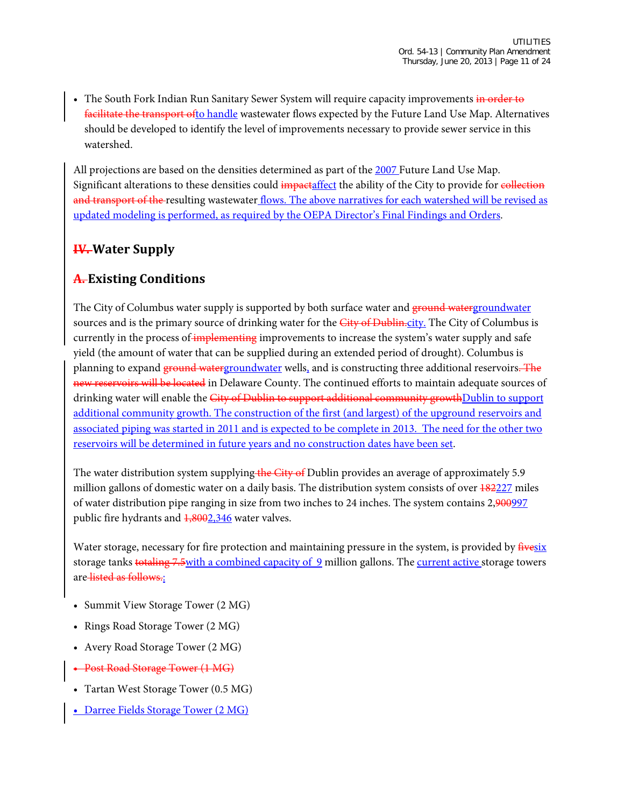• The South Fork Indian Run Sanitary Sewer System will require capacity improvements in order to facilitate the transport ofto handle wastewater flows expected by the Future Land Use Map. Alternatives should be developed to identify the level of improvements necessary to provide sewer service in this watershed.

All projections are based on the densities determined as part of the 2007 Future Land Use Map. Significant alterations to these densities could *impactaffect* the ability of the City to provide for collection and transport of the resulting wastewater flows. The above narratives for each watershed will be revised as updated modeling is performed, as required by the OEPA Director's Final Findings and Orders.

#### **IV. Water Supply**

#### **A. Existing Conditions**

The City of Columbus water supply is supported by both surface water and ground watergroundwater sources and is the primary source of drinking water for the City of Dublin.city. The City of Columbus is currently in the process of implementing improvements to increase the system's water supply and safe yield (the amount of water that can be supplied during an extended period of drought). Columbus is planning to expand ground watergroundwater wells, and is constructing three additional reservoirs. The new reservoirs will be located in Delaware County. The continued efforts to maintain adequate sources of drinking water will enable the City of Dublin to support additional community growth Dublin to support additional community growth. The construction of the first (and largest) of the upground reservoirs and associated piping was started in 2011 and is expected to be complete in 2013. The need for the other two reservoirs will be determined in future years and no construction dates have been set.

The water distribution system supplying the City of Dublin provides an average of approximately 5.9 million gallons of domestic water on a daily basis. The distribution system consists of over  $\frac{182227}{18221}$  miles of water distribution pipe ranging in size from two inches to 24 inches. The system contains 2,900997 public fire hydrants and  $\frac{1,8002,346}{1,8002,346}$  water valves.

Water storage, necessary for fire protection and maintaining pressure in the system, is provided by  $\frac{\text{fivesix}}{\text{fivesix}}$ storage tanks totaling 7.5 with a combined capacity of 9 million gallons. The current active storage towers are listed as follows.:

- Summit View Storage Tower (2 MG)
- Rings Road Storage Tower (2 MG)
- Avery Road Storage Tower (2 MG)
- Post Road Storage Tower (1 MG)
- Tartan West Storage Tower (0.5 MG)
- Darree Fields Storage Tower (2 MG)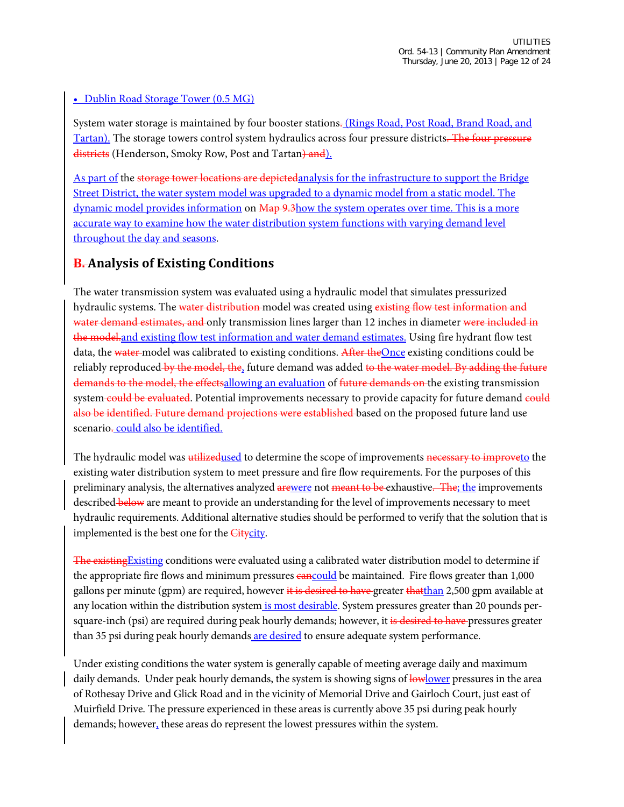#### • Dublin Road Storage Tower (0.5 MG)

System water storage is maintained by four booster stations. (Rings Road, Post Road, Brand Road, and Tartan). The storage towers control system hydraulics across four pressure districts. The four pressure districts (Henderson, Smoky Row, Post and Tartan) and l.

As part of the storage tower locations are depicted analysis for the infrastructure to support the Bridge Street District, the water system model was upgraded to a dynamic model from a static model. The dynamic model provides information on  $\overline{Map 9,3}$  how the system operates over time. This is a more accurate way to examine how the water distribution system functions with varying demand level throughout the day and seasons.

#### **B. Analysis of Existing Conditions**

The water transmission system was evaluated using a hydraulic model that simulates pressurized hydraulic systems. The water distribution model was created using existing flow test information and water demand estimates, and only transmission lines larger than 12 inches in diameter were included in the model, and existing flow test information and water demand estimates. Using fire hydrant flow test data, the water-model was calibrated to existing conditions. After the Once existing conditions could be reliably reproduced by the model, the, future demand was added to the water model. By adding the future demands to the model, the effectsallowing an evaluation of future demands on the existing transmission system could be evaluated. Potential improvements necessary to provide capacity for future demand could also be identified. Future demand projections were established based on the proposed future land use scenario-could also be identified.

The hydraulic model was utilized used to determine the scope of improvements necessary to improveto the existing water distribution system to meet pressure and fire flow requirements. For the purposes of this preliminary analysis, the alternatives analyzed arewere not meant to be exhaustive. The the improvements described below are meant to provide an understanding for the level of improvements necessary to meet hydraulic requirements. Additional alternative studies should be performed to verify that the solution that is implemented is the best one for the **Citycity**.

The existing Existing conditions were evaluated using a calibrated water distribution model to determine if the appropriate fire flows and minimum pressures **cancould** be maintained. Fire flows greater than 1,000 gallons per minute (gpm) are required, however it is desired to have greater thatthan 2,500 gpm available at any location within the distribution system is most desirable. System pressures greater than 20 pounds persquare-inch (psi) are required during peak hourly demands; however, it is desired to have pressures greater than 35 psi during peak hourly demands are desired to ensure adequate system performance.

Under existing conditions the water system is generally capable of meeting average daily and maximum daily demands. Under peak hourly demands, the system is showing signs of lowlower pressures in the area of Rothesay Drive and Glick Road and in the vicinity of Memorial Drive and Gairloch Court, just east of Muirfield Drive. The pressure experienced in these areas is currently above 35 psi during peak hourly demands; however, these areas do represent the lowest pressures within the system.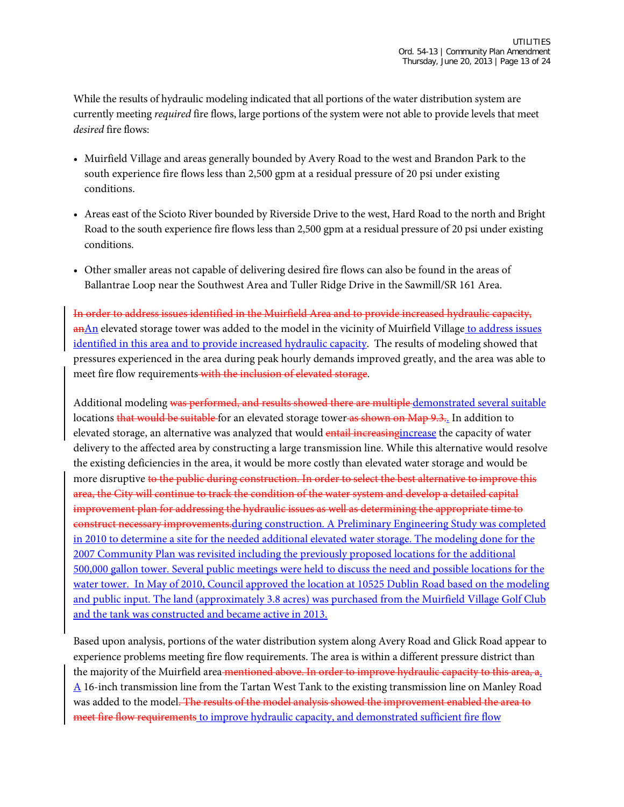While the results of hydraulic modeling indicated that all portions of the water distribution system are currently meeting *required* fire flows, large portions of the system were not able to provide levels that meet *desired* fire flows:

- Muirfield Village and areas generally bounded by Avery Road to the west and Brandon Park to the south experience fire flows less than 2,500 gpm at a residual pressure of 20 psi under existing conditions.
- Areas east of the Scioto River bounded by Riverside Drive to the west, Hard Road to the north and Bright Road to the south experience fire flows less than 2,500 gpm at a residual pressure of 20 psi under existing conditions.
- Other smaller areas not capable of delivering desired fire flows can also be found in the areas of Ballantrae Loop near the Southwest Area and Tuller Ridge Drive in the Sawmill/SR 161 Area.

In order to address issues identified in the Muirfield Area and to provide increased hydraulic capacity, anAn elevated storage tower was added to the model in the vicinity of Muirfield Village to address issues identified in this area and to provide increased hydraulic capacity. The results of modeling showed that pressures experienced in the area during peak hourly demands improved greatly, and the area was able to meet fire flow requirements with the inclusion of elevated storage.

Additional modeling was performed, and results showed there are multiple-demonstrated several suitable locations that would be suitable for an elevated storage tower as shown on Map 9.3.. In addition to elevated storage, an alternative was analyzed that would entail increasing increase the capacity of water delivery to the affected area by constructing a large transmission line. While this alternative would resolve the existing deficiencies in the area, it would be more costly than elevated water storage and would be more disruptive to the public during construction. In order to select the best alternative to improve this area, the City will continue to track the condition of the water system and develop a detailed capital improvement plan for addressing the hydraulic issues as well as determining the appropriate time to construct necessary improvements.during construction. A Preliminary Engineering Study was completed in 2010 to determine a site for the needed additional elevated water storage. The modeling done for the 2007 Community Plan was revisited including the previously proposed locations for the additional 500,000 gallon tower. Several public meetings were held to discuss the need and possible locations for the water tower. In May of 2010, Council approved the location at 10525 Dublin Road based on the modeling and public input. The land (approximately 3.8 acres) was purchased from the Muirfield Village Golf Club and the tank was constructed and became active in 2013.

Based upon analysis, portions of the water distribution system along Avery Road and Glick Road appear to experience problems meeting fire flow requirements. The area is within a different pressure district than the majority of the Muirfield area-mentioned above. In order to improve hydraulic capacity to this area, a. A 16-inch transmission line from the Tartan West Tank to the existing transmission line on Manley Road was added to the model. The results of the model analysis showed the improvement enabled the area to meet fire flow requirements to improve hydraulic capacity, and demonstrated sufficient fire flow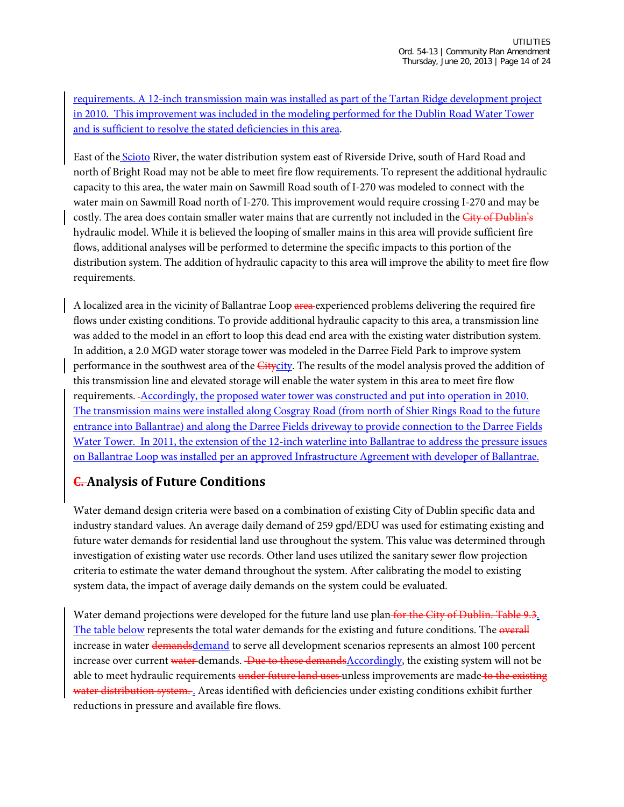requirements. A 12-inch transmission main was installed as part of the Tartan Ridge development project in 2010. This improvement was included in the modeling performed for the Dublin Road Water Tower and is sufficient to resolve the stated deficiencies in this area.

East of the Scioto River, the water distribution system east of Riverside Drive, south of Hard Road and north of Bright Road may not be able to meet fire flow requirements. To represent the additional hydraulic capacity to this area, the water main on Sawmill Road south of I-270 was modeled to connect with the water main on Sawmill Road north of I-270. This improvement would require crossing I-270 and may be costly. The area does contain smaller water mains that are currently not included in the City of Dublin's hydraulic model. While it is believed the looping of smaller mains in this area will provide sufficient fire flows, additional analyses will be performed to determine the specific impacts to this portion of the distribution system. The addition of hydraulic capacity to this area will improve the ability to meet fire flow requirements.

A localized area in the vicinity of Ballantrae Loop area experienced problems delivering the required fire flows under existing conditions. To provide additional hydraulic capacity to this area, a transmission line was added to the model in an effort to loop this dead end area with the existing water distribution system. In addition, a 2.0 MGD water storage tower was modeled in the Darree Field Park to improve system performance in the southwest area of the Citycity. The results of the model analysis proved the addition of this transmission line and elevated storage will enable the water system in this area to meet fire flow requirements. Accordingly, the proposed water tower was constructed and put into operation in 2010. The transmission mains were installed along Cosgray Road (from north of Shier Rings Road to the future entrance into Ballantrae) and along the Darree Fields driveway to provide connection to the Darree Fields Water Tower. In 2011, the extension of the 12-inch waterline into Ballantrae to address the pressure issues on Ballantrae Loop was installed per an approved Infrastructure Agreement with developer of Ballantrae.

#### **C. Analysis of Future Conditions**

Water demand design criteria were based on a combination of existing City of Dublin specific data and industry standard values. An average daily demand of 259 gpd/EDU was used for estimating existing and future water demands for residential land use throughout the system. This value was determined through investigation of existing water use records. Other land uses utilized the sanitary sewer flow projection criteria to estimate the water demand throughout the system. After calibrating the model to existing system data, the impact of average daily demands on the system could be evaluated.

Water demand projections were developed for the future land use plan-for the City of Dublin. Table 9.3. The table below represents the total water demands for the existing and future conditions. The overall increase in water demandsdemand to serve all development scenarios represents an almost 100 percent increase over current water demands. Due to these demands Accordingly, the existing system will not be able to meet hydraulic requirements under future land uses unless improvements are made to the existing water distribution system. . Areas identified with deficiencies under existing conditions exhibit further reductions in pressure and available fire flows.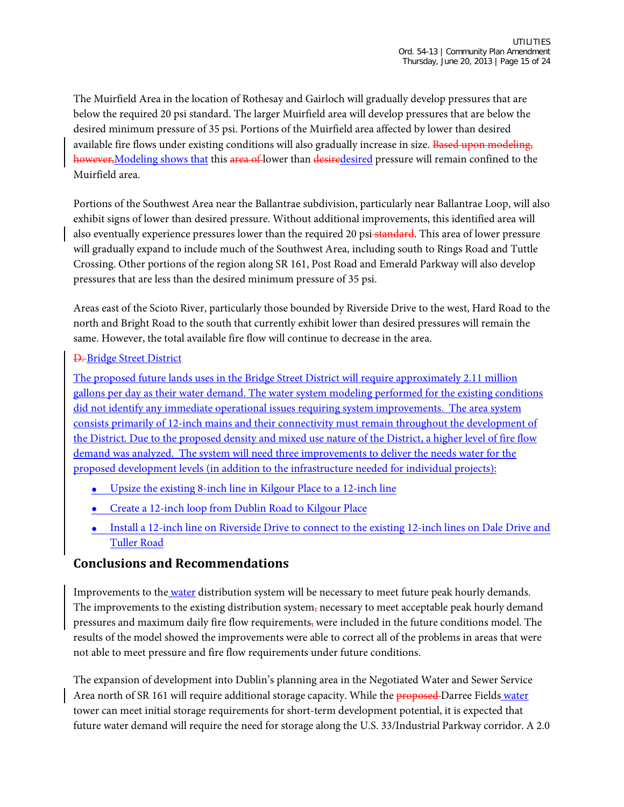The Muirfield Area in the location of Rothesay and Gairloch will gradually develop pressures that are below the required 20 psi standard. The larger Muirfield area will develop pressures that are below the desired minimum pressure of 35 psi. Portions of the Muirfield area affected by lower than desired available fire flows under existing conditions will also gradually increase in size. Based upon modeling, however, Modeling shows that this area of lower than desiredesired pressure will remain confined to the Muirfield area.

Portions of the Southwest Area near the Ballantrae subdivision, particularly near Ballantrae Loop, will also exhibit signs of lower than desired pressure. Without additional improvements, this identified area will also eventually experience pressures lower than the required 20 psi-standard. This area of lower pressure will gradually expand to include much of the Southwest Area, including south to Rings Road and Tuttle Crossing. Other portions of the region along SR 161, Post Road and Emerald Parkway will also develop pressures that are less than the desired minimum pressure of 35 psi.

Areas east of the Scioto River, particularly those bounded by Riverside Drive to the west, Hard Road to the north and Bright Road to the south that currently exhibit lower than desired pressures will remain the same. However, the total available fire flow will continue to decrease in the area.

#### D. Bridge Street District

The proposed future lands uses in the Bridge Street District will require approximately 2.11 million gallons per day as their water demand. The water system modeling performed for the existing conditions did not identify any immediate operational issues requiring system improvements. The area system consists primarily of 12-inch mains and their connectivity must remain throughout the development of the District. Due to the proposed density and mixed use nature of the District, a higher level of fire flow demand was analyzed. The system will need three improvements to deliver the needs water for the proposed development levels (in addition to the infrastructure needed for individual projects):

- Upsize the existing 8-inch line in Kilgour Place to a 12-inch line
- Create a 12-inch loop from Dublin Road to Kilgour Place
- Install a 12-inch line on Riverside Drive to connect to the existing 12-inch lines on Dale Drive and Tuller Road

#### **Conclusions and Recommendations**

Improvements to the water distribution system will be necessary to meet future peak hourly demands. The improvements to the existing distribution system, necessary to meet acceptable peak hourly demand pressures and maximum daily fire flow requirements, were included in the future conditions model. The results of the model showed the improvements were able to correct all of the problems in areas that were not able to meet pressure and fire flow requirements under future conditions.

The expansion of development into Dublin's planning area in the Negotiated Water and Sewer Service Area north of SR 161 will require additional storage capacity. While the **proposed** Darree Fields water tower can meet initial storage requirements for short-term development potential, it is expected that future water demand will require the need for storage along the U.S. 33/Industrial Parkway corridor. A 2.0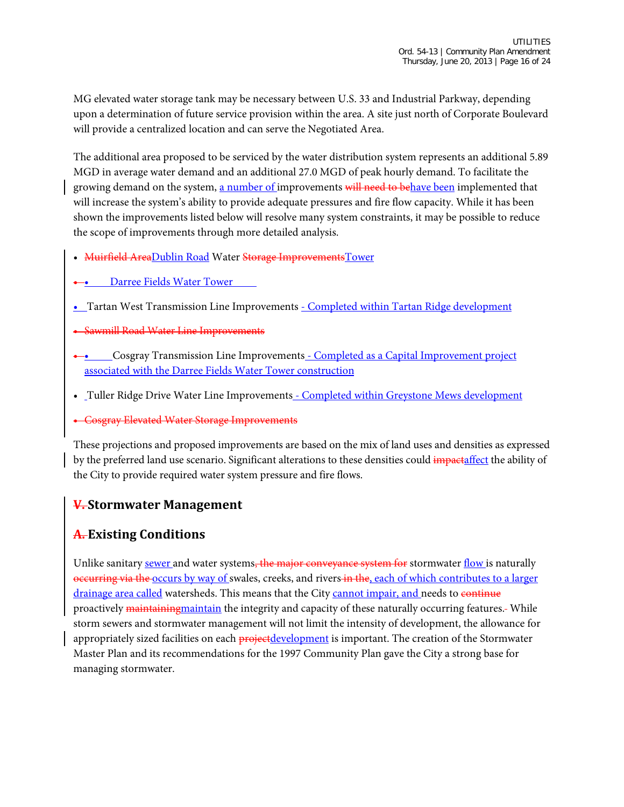MG elevated water storage tank may be necessary between U.S. 33 and Industrial Parkway, depending upon a determination of future service provision within the area. A site just north of Corporate Boulevard will provide a centralized location and can serve the Negotiated Area.

The additional area proposed to be serviced by the water distribution system represents an additional 5.89 MGD in average water demand and an additional 27.0 MGD of peak hourly demand. To facilitate the growing demand on the system, a number of improvements will need to behave been implemented that will increase the system's ability to provide adequate pressures and fire flow capacity. While it has been shown the improvements listed below will resolve many system constraints, it may be possible to reduce the scope of improvements through more detailed analysis.

- Muirfield AreaDublin Road Water Storage Improvements Tower
- Darree Fields Water Tower
- Tartan West Transmission Line Improvements Completed within Tartan Ridge development
- Sawmill Road Water Line Improvements
- Cosgray Transmission Line Improvements Completed as a Capital Improvement project associated with the Darree Fields Water Tower construction
- Tuller Ridge Drive Water Line Improvements Completed within Greystone Mews development
- Cosgray Elevated Water Storage Improvements

These projections and proposed improvements are based on the mix of land uses and densities as expressed by the preferred land use scenario. Significant alterations to these densities could impactaffect the ability of the City to provide required water system pressure and fire flows.

#### **V. Stormwater Management**

#### **A. Existing Conditions**

Unlike sanitary sewer and water systems, the major conveyance system for stormwater flow is naturally occurring via the occurs by way of swales, creeks, and rivers in the, each of which contributes to a larger drainage area called watersheds. This means that the City cannot impair, and needs to continue proactively maintainingmaintain the integrity and capacity of these naturally occurring features. While storm sewers and stormwater management will not limit the intensity of development, the allowance for appropriately sized facilities on each projectdevelopment is important. The creation of the Stormwater Master Plan and its recommendations for the 1997 Community Plan gave the City a strong base for managing stormwater.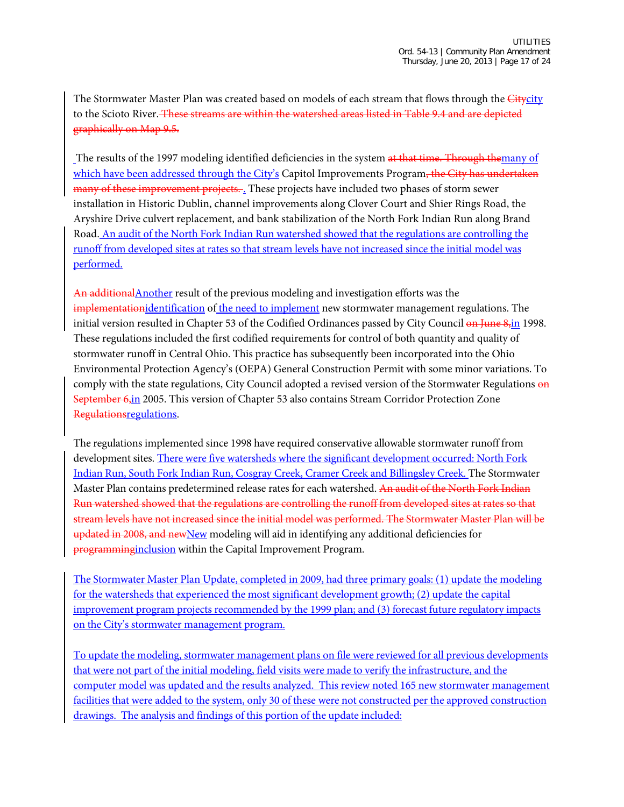The Stormwater Master Plan was created based on models of each stream that flows through the *Citycity* to the Scioto River. These streams are within the watershed areas listed in Table 9.4 and are depicted graphically on Map 9.5.

The results of the 1997 modeling identified deficiencies in the system at that time. Through themany of which have been addressed through the City's Capitol Improvements Program, the City has undertaken many of these improvement projects. These projects have included two phases of storm sewer installation in Historic Dublin, channel improvements along Clover Court and Shier Rings Road, the Aryshire Drive culvert replacement, and bank stabilization of the North Fork Indian Run along Brand Road. An audit of the North Fork Indian Run watershed showed that the regulations are controlling the runoff from developed sites at rates so that stream levels have not increased since the initial model was performed.

An additionalAnother result of the previous modeling and investigation efforts was the implementationidentification of the need to implement new stormwater management regulations. The initial version resulted in Chapter 53 of the Codified Ordinances passed by City Council on June 8,in 1998. These regulations included the first codified requirements for control of both quantity and quality of stormwater runoff in Central Ohio. This practice has subsequently been incorporated into the Ohio Environmental Protection Agency's (OEPA) General Construction Permit with some minor variations. To comply with the state regulations, City Council adopted a revised version of the Stormwater Regulations on September 6,in 2005. This version of Chapter 53 also contains Stream Corridor Protection Zone Regulationsregulations.

The regulations implemented since 1998 have required conservative allowable stormwater runoff from development sites. There were five watersheds where the significant development occurred: North Fork Indian Run, South Fork Indian Run, Cosgray Creek, Cramer Creek and Billingsley Creek. The Stormwater Master Plan contains predetermined release rates for each watershed. An audit of the North Fork Indian Run watershed showed that the regulations are controlling the runoff from developed sites at rates so that stream levels have not increased since the initial model was performed. The Stormwater Master Plan will be updated in 2008, and newNew modeling will aid in identifying any additional deficiencies for programminginclusion within the Capital Improvement Program.

The Stormwater Master Plan Update, completed in 2009, had three primary goals: (1) update the modeling for the watersheds that experienced the most significant development growth; (2) update the capital improvement program projects recommended by the 1999 plan; and (3) forecast future regulatory impacts on the City's stormwater management program.

To update the modeling, stormwater management plans on file were reviewed for all previous developments that were not part of the initial modeling, field visits were made to verify the infrastructure, and the computer model was updated and the results analyzed. This review noted 165 new stormwater management facilities that were added to the system, only 30 of these were not constructed per the approved construction drawings. The analysis and findings of this portion of the update included: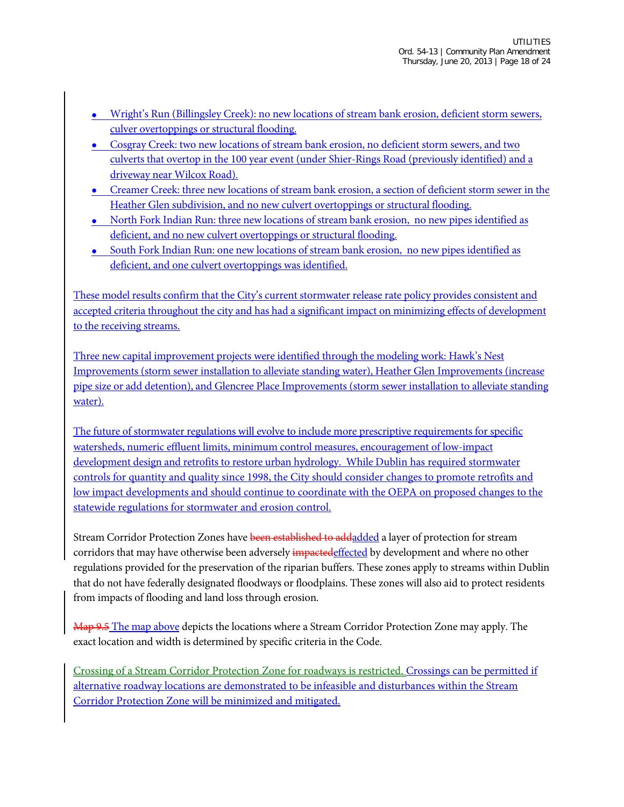- Wright's Run (Billingsley Creek): no new locations of stream bank erosion, deficient storm sewers, culver overtoppings or structural flooding.
- Cosgray Creek: two new locations of stream bank erosion, no deficient storm sewers, and two culverts that overtop in the 100 year event (under Shier-Rings Road (previously identified) and a driveway near Wilcox Road).
- Creamer Creek: three new locations of stream bank erosion, a section of deficient storm sewer in the Heather Glen subdivision, and no new culvert overtoppings or structural flooding.
- North Fork Indian Run: three new locations of stream bank erosion, no new pipes identified as deficient, and no new culvert overtoppings or structural flooding.
- South Fork Indian Run: one new locations of stream bank erosion, no new pipes identified as deficient, and one culvert overtoppings was identified.

These model results confirm that the City's current stormwater release rate policy provides consistent and accepted criteria throughout the city and has had a significant impact on minimizing effects of development to the receiving streams.

Three new capital improvement projects were identified through the modeling work: Hawk's Nest Improvements (storm sewer installation to alleviate standing water), Heather Glen Improvements (increase pipe size or add detention), and Glencree Place Improvements (storm sewer installation to alleviate standing water).

The future of stormwater regulations will evolve to include more prescriptive requirements for specific watersheds, numeric effluent limits, minimum control measures, encouragement of low-impact development design and retrofits to restore urban hydrology. While Dublin has required stormwater controls for quantity and quality since 1998, the City should consider changes to promote retrofits and low impact developments and should continue to coordinate with the OEPA on proposed changes to the statewide regulations for stormwater and erosion control.

Stream Corridor Protection Zones have been established to addadded a layer of protection for stream corridors that may have otherwise been adversely impacted effected by development and where no other regulations provided for the preservation of the riparian buffers. These zones apply to streams within Dublin that do not have federally designated floodways or floodplains. These zones will also aid to protect residents from impacts of flooding and land loss through erosion.

Map 9.5 The map above depicts the locations where a Stream Corridor Protection Zone may apply. The exact location and width is determined by specific criteria in the Code.

Crossing of a Stream Corridor Protection Zone for roadways is restricted. Crossings can be permitted if alternative roadway locations are demonstrated to be infeasible and disturbances within the Stream Corridor Protection Zone will be minimized and mitigated.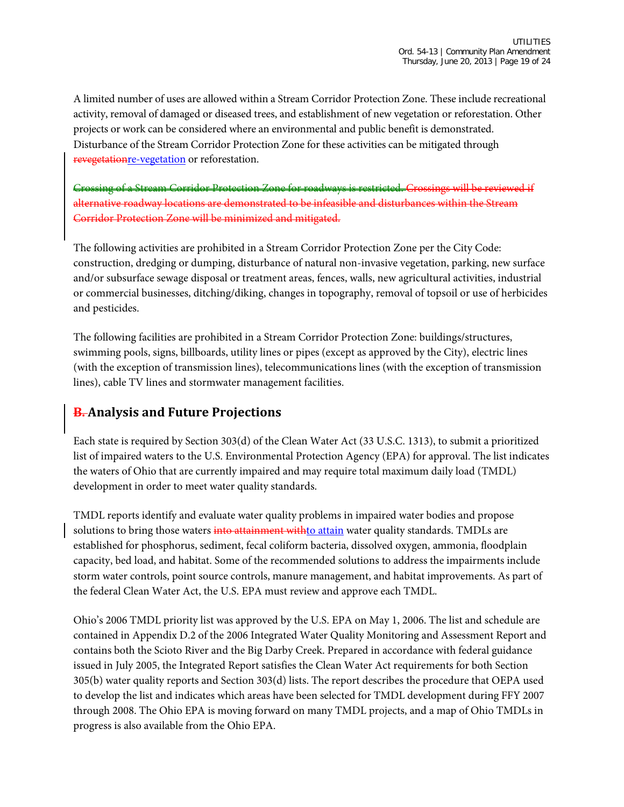A limited number of uses are allowed within a Stream Corridor Protection Zone. These include recreational activity, removal of damaged or diseased trees, and establishment of new vegetation or reforestation. Other projects or work can be considered where an environmental and public benefit is demonstrated. Disturbance of the Stream Corridor Protection Zone for these activities can be mitigated through revegetationre-vegetation or reforestation.

Crossing of a Stream Corridor Protection Zone for roadways is restricted. Crossings will be reviewed if alternative roadway locations are demonstrated to be infeasible and disturbances within the Stream Corridor Protection Zone will be minimized and mitigated.

The following activities are prohibited in a Stream Corridor Protection Zone per the City Code: construction, dredging or dumping, disturbance of natural non-invasive vegetation, parking, new surface and/or subsurface sewage disposal or treatment areas, fences, walls, new agricultural activities, industrial or commercial businesses, ditching/diking, changes in topography, removal of topsoil or use of herbicides and pesticides.

The following facilities are prohibited in a Stream Corridor Protection Zone: buildings/structures, swimming pools, signs, billboards, utility lines or pipes (except as approved by the City), electric lines (with the exception of transmission lines), telecommunications lines (with the exception of transmission lines), cable TV lines and stormwater management facilities.

#### **B. Analysis and Future Projections**

Each state is required by Section 303(d) of the Clean Water Act (33 U.S.C. 1313), to submit a prioritized list of impaired waters to the U.S. Environmental Protection Agency (EPA) for approval. The list indicates the waters of Ohio that are currently impaired and may require total maximum daily load (TMDL) development in order to meet water quality standards.

TMDL reports identify and evaluate water quality problems in impaired water bodies and propose solutions to bring those waters into attainment withto attain water quality standards. TMDLs are established for phosphorus, sediment, fecal coliform bacteria, dissolved oxygen, ammonia, floodplain capacity, bed load, and habitat. Some of the recommended solutions to address the impairments include storm water controls, point source controls, manure management, and habitat improvements. As part of the federal Clean Water Act, the U.S. EPA must review and approve each TMDL.

Ohio's 2006 TMDL priority list was approved by the U.S. EPA on May 1, 2006. The list and schedule are contained in Appendix D.2 of the 2006 Integrated Water Quality Monitoring and Assessment Report and contains both the Scioto River and the Big Darby Creek. Prepared in accordance with federal guidance issued in July 2005, the Integrated Report satisfies the Clean Water Act requirements for both Section 305(b) water quality reports and Section 303(d) lists. The report describes the procedure that OEPA used to develop the list and indicates which areas have been selected for TMDL development during FFY 2007 through 2008. The Ohio EPA is moving forward on many TMDL projects, and a map of Ohio TMDLs in progress is also available from the Ohio EPA.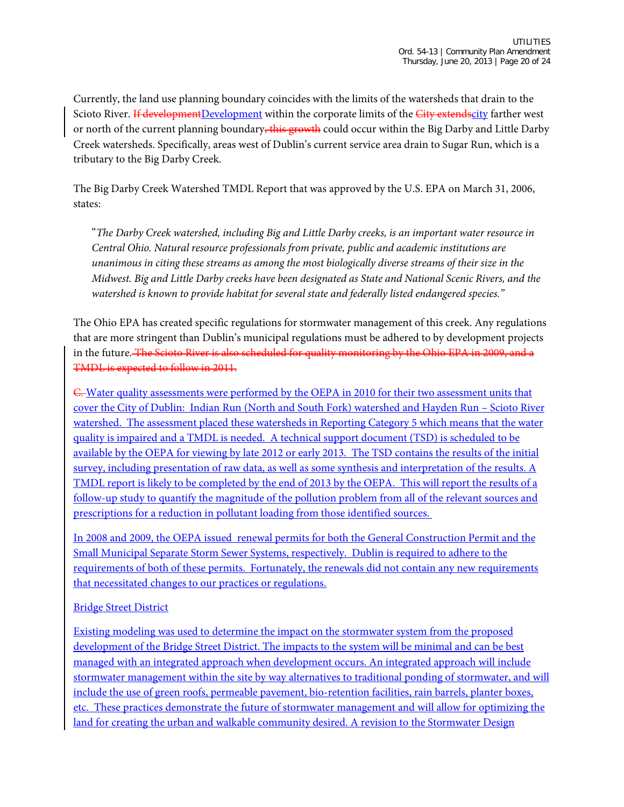Currently, the land use planning boundary coincides with the limits of the watersheds that drain to the Scioto River. If developmentDevelopment within the corporate limits of the City extendscity farther west or north of the current planning boundary, this growth could occur within the Big Darby and Little Darby Creek watersheds. Specifically, areas west of Dublin's current service area drain to Sugar Run, which is a tributary to the Big Darby Creek.

The Big Darby Creek Watershed TMDL Report that was approved by the U.S. EPA on March 31, 2006, states:

"*The Darby Creek watershed, including Big and Little Darby creeks, is an important water resource in Central Ohio. Natural resource professionals from private, public and academic institutions are unanimous in citing these streams as among the most biologically diverse streams of their size in the Midwest. Big and Little Darby creeks have been designated as State and National Scenic Rivers, and the watershed is known to provide habitat for several state and federally listed endangered species."*

The Ohio EPA has created specific regulations for stormwater management of this creek. Any regulations that are more stringent than Dublin's municipal regulations must be adhered to by development projects in the future. The Scioto River is also scheduled for quality monitoring by the Ohio EPA in 2009, and a TMDL is expected to follow in 2011.

C. Water quality assessments were performed by the OEPA in 2010 for their two assessment units that cover the City of Dublin: Indian Run (North and South Fork) watershed and Hayden Run – Scioto River watershed. The assessment placed these watersheds in Reporting Category 5 which means that the water quality is impaired and a TMDL is needed. A technical support document (TSD) is scheduled to be available by the OEPA for viewing by late 2012 or early 2013. The TSD contains the results of the initial survey, including presentation of raw data, as well as some synthesis and interpretation of the results. A TMDL report is likely to be completed by the end of 2013 by the OEPA. This will report the results of a follow-up study to quantify the magnitude of the pollution problem from all of the relevant sources and prescriptions for a reduction in pollutant loading from those identified sources.

In 2008 and 2009, the OEPA issued renewal permits for both the General Construction Permit and the Small Municipal Separate Storm Sewer Systems, respectively. Dublin is required to adhere to the requirements of both of these permits. Fortunately, the renewals did not contain any new requirements that necessitated changes to our practices or regulations.

#### Bridge Street District

Existing modeling was used to determine the impact on the stormwater system from the proposed development of the Bridge Street District. The impacts to the system will be minimal and can be best managed with an integrated approach when development occurs. An integrated approach will include stormwater management within the site by way alternatives to traditional ponding of stormwater, and will include the use of green roofs, permeable pavement, bio-retention facilities, rain barrels, planter boxes, etc. These practices demonstrate the future of stormwater management and will allow for optimizing the land for creating the urban and walkable community desired. A revision to the Stormwater Design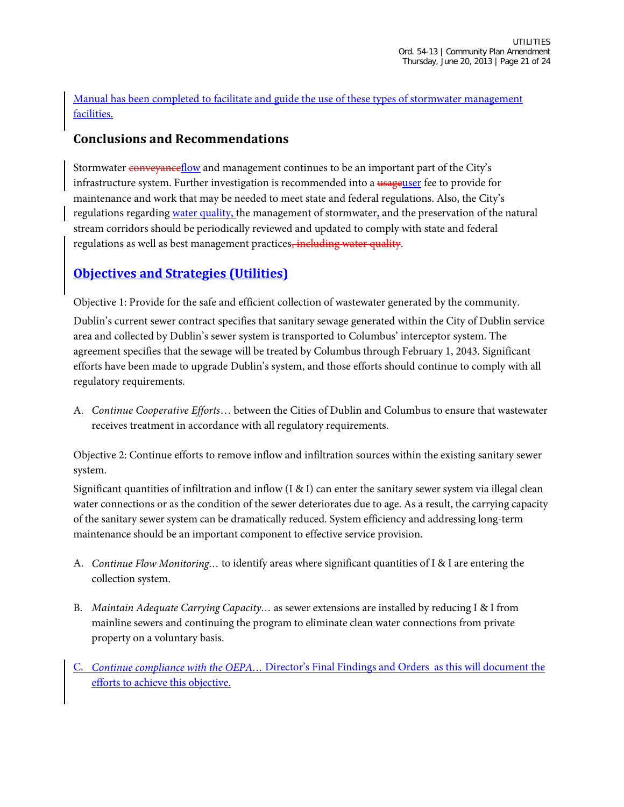Manual has been completed to facilitate and guide the use of these types of stormwater management facilities.

#### **Conclusions and Recommendations**

Stormwater conveyance flow and management continues to be an important part of the City's infrastructure system. Further investigation is recommended into a usageuser fee to provide for maintenance and work that may be needed to meet state and federal regulations. Also, the City's regulations regarding water quality, the management of stormwater, and the preservation of the natural stream corridors should be periodically reviewed and updated to comply with state and federal regulations as well as best management practices, including water quality.

# **Objectives and Strategies (Utilities)**

Objective 1: Provide for the safe and efficient collection of wastewater generated by the community.

Dublin's current sewer contract specifies that sanitary sewage generated within the City of Dublin service area and collected by Dublin's sewer system is transported to Columbus' interceptor system. The agreement specifies that the sewage will be treated by Columbus through February 1, 2043. Significant efforts have been made to upgrade Dublin's system, and those efforts should continue to comply with all regulatory requirements.

A. *Continue Cooperative Efforts*… between the Cities of Dublin and Columbus to ensure that wastewater receives treatment in accordance with all regulatory requirements.

Objective 2: Continue efforts to remove inflow and infiltration sources within the existing sanitary sewer system.

Significant quantities of infiltration and inflow (I & I) can enter the sanitary sewer system via illegal clean water connections or as the condition of the sewer deteriorates due to age. As a result, the carrying capacity of the sanitary sewer system can be dramatically reduced. System efficiency and addressing long-term maintenance should be an important component to effective service provision.

- A. *Continue Flow Monitoring…* to identify areas where significant quantities of I & I are entering the collection system.
- B. *Maintain Adequate Carrying Capacity…* as sewer extensions are installed by reducing I & I from mainline sewers and continuing the program to eliminate clean water connections from private property on a voluntary basis.
- Continue compliance with the OEPA... Director's Final Findings and Orders as this will document the efforts to achieve this objective.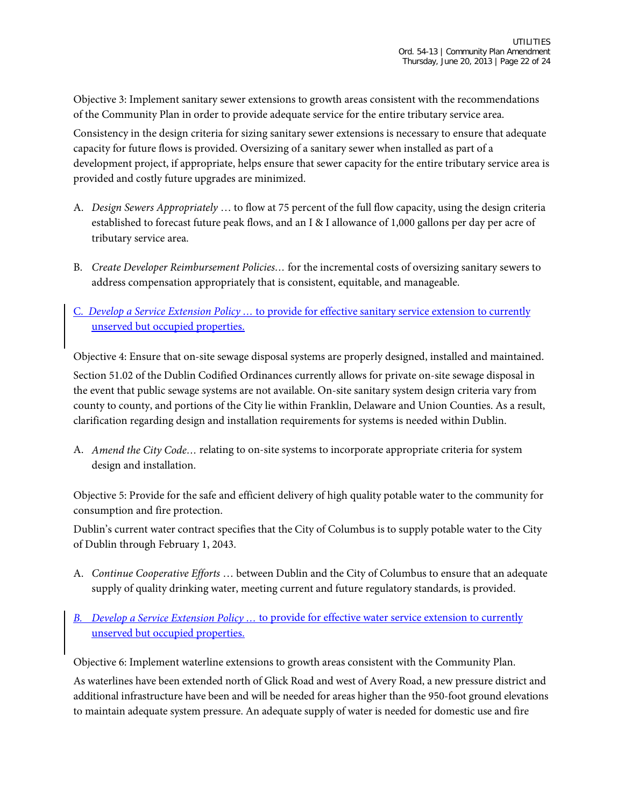Objective 3: Implement sanitary sewer extensions to growth areas consistent with the recommendations of the Community Plan in order to provide adequate service for the entire tributary service area.

Consistency in the design criteria for sizing sanitary sewer extensions is necessary to ensure that adequate capacity for future flows is provided. Oversizing of a sanitary sewer when installed as part of a development project, if appropriate, helps ensure that sewer capacity for the entire tributary service area is provided and costly future upgrades are minimized.

- A. *Design Sewers Appropriately* … to flow at 75 percent of the full flow capacity, using the design criteria established to forecast future peak flows, and an I & I allowance of 1,000 gallons per day per acre of tributary service area.
- B. *Create Developer Reimbursement Policies…* for the incremental costs of oversizing sanitary sewers to address compensation appropriately that is consistent, equitable, and manageable.
- C. *Develop a Service Extension Policy …* to provide for effective sanitary service extension to currently unserved but occupied properties.

Objective 4: Ensure that on-site sewage disposal systems are properly designed, installed and maintained. Section 51.02 of the Dublin Codified Ordinances currently allows for private on-site sewage disposal in the event that public sewage systems are not available. On-site sanitary system design criteria vary from county to county, and portions of the City lie within Franklin, Delaware and Union Counties. As a result,

A. *Amend the City Code…* relating to on-site systems to incorporate appropriate criteria for system design and installation.

clarification regarding design and installation requirements for systems is needed within Dublin.

Objective 5: Provide for the safe and efficient delivery of high quality potable water to the community for consumption and fire protection.

Dublin's current water contract specifies that the City of Columbus is to supply potable water to the City of Dublin through February 1, 2043.

- A. *Continue Cooperative Efforts* … between Dublin and the City of Columbus to ensure that an adequate supply of quality drinking water, meeting current and future regulatory standards, is provided.
- *B. Develop a Service Extension Policy …* to provide for effective water service extension to currently unserved but occupied properties.

Objective 6: Implement waterline extensions to growth areas consistent with the Community Plan.

As waterlines have been extended north of Glick Road and west of Avery Road, a new pressure district and additional infrastructure have been and will be needed for areas higher than the 950-foot ground elevations to maintain adequate system pressure. An adequate supply of water is needed for domestic use and fire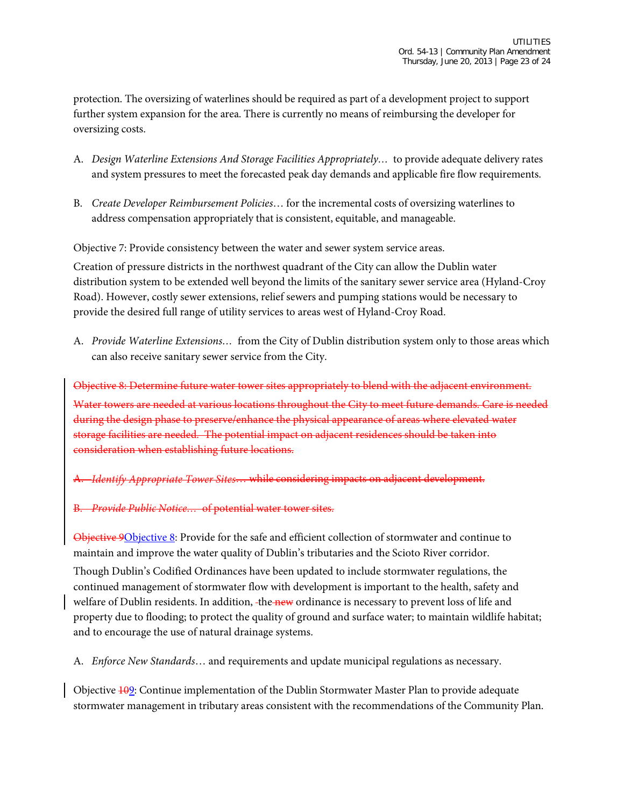protection. The oversizing of waterlines should be required as part of a development project to support further system expansion for the area. There is currently no means of reimbursing the developer for oversizing costs.

- A. *Design Waterline Extensions And Storage Facilities Appropriately…* to provide adequate delivery rates and system pressures to meet the forecasted peak day demands and applicable fire flow requirements.
- B. *Create Developer Reimbursement Policies*… for the incremental costs of oversizing waterlines to address compensation appropriately that is consistent, equitable, and manageable.

Objective 7: Provide consistency between the water and sewer system service areas.

Creation of pressure districts in the northwest quadrant of the City can allow the Dublin water distribution system to be extended well beyond the limits of the sanitary sewer service area (Hyland-Croy Road). However, costly sewer extensions, relief sewers and pumping stations would be necessary to provide the desired full range of utility services to areas west of Hyland-Croy Road.

A. *Provide Waterline Extensions…* from the City of Dublin distribution system only to those areas which can also receive sanitary sewer service from the City.

Objective 8: Determine future water tower sites appropriately to blend with the adjacent environment. Water towers are needed at various locations throughout the City to meet future demands. Care is needed during the design phase to preserve/enhance the physical appearance of areas where elevated water storage facilities are needed. The potential impact on adjacent residences should be taken into consideration when establishing future locations.

A. *Identify Appropriate Tower Sites*… while considering impacts on adjacent development.

B. *Provide Public Notice…* of potential water tower sites.

Objective 9Objective 8: Provide for the safe and efficient collection of stormwater and continue to maintain and improve the water quality of Dublin's tributaries and the Scioto River corridor. Though Dublin's Codified Ordinances have been updated to include stormwater regulations, the continued management of stormwater flow with development is important to the health, safety and welfare of Dublin residents. In addition, the new ordinance is necessary to prevent loss of life and property due to flooding; to protect the quality of ground and surface water; to maintain wildlife habitat; and to encourage the use of natural drainage systems.

A. *Enforce New Standards*… and requirements and update municipal regulations as necessary.

Objective 109: Continue implementation of the Dublin Stormwater Master Plan to provide adequate stormwater management in tributary areas consistent with the recommendations of the Community Plan.